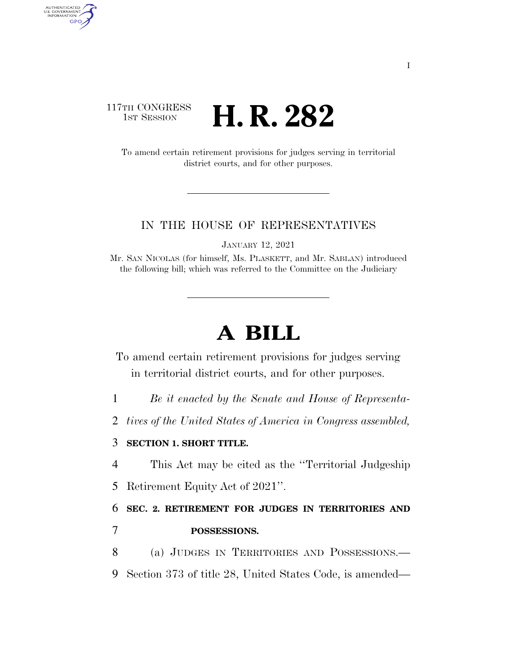## 117TH CONGRESS **1st Session H. R. 282**

AUTHENTICATED<br>U.S. GOVERNMENT<br>INFORMATION GPO

> To amend certain retirement provisions for judges serving in territorial district courts, and for other purposes.

## IN THE HOUSE OF REPRESENTATIVES

JANUARY 12, 2021

Mr. SAN NICOLAS (for himself, Ms. PLASKETT, and Mr. SABLAN) introduced the following bill; which was referred to the Committee on the Judiciary

## **A BILL**

To amend certain retirement provisions for judges serving in territorial district courts, and for other purposes.

1 *Be it enacted by the Senate and House of Representa-*

2 *tives of the United States of America in Congress assembled,* 

## 3 **SECTION 1. SHORT TITLE.**

4 This Act may be cited as the ''Territorial Judgeship

5 Retirement Equity Act of 2021''.

6 **SEC. 2. RETIREMENT FOR JUDGES IN TERRITORIES AND**  7 **POSSESSIONS.** 

8 (a) JUDGES IN TERRITORIES AND POSSESSIONS.— 9 Section 373 of title 28, United States Code, is amended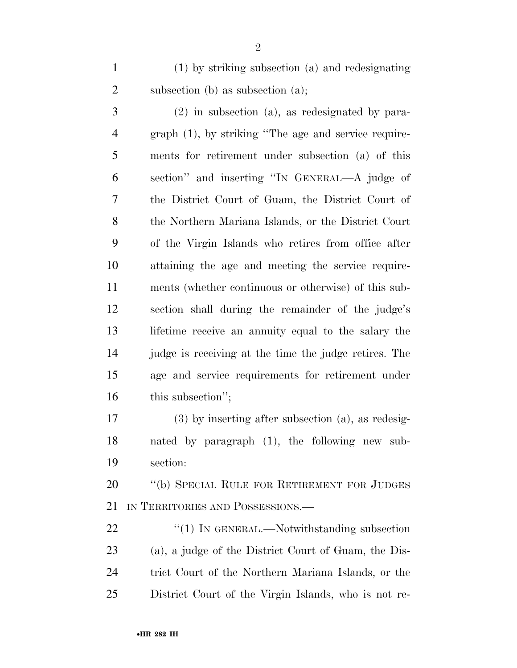(1) by striking subsection (a) and redesignating 2 subsection (b) as subsection (a);

 (2) in subsection (a), as redesignated by para- graph (1), by striking ''The age and service require- ments for retirement under subsection (a) of this section'' and inserting ''IN GENERAL—A judge of the District Court of Guam, the District Court of the Northern Mariana Islands, or the District Court of the Virgin Islands who retires from office after attaining the age and meeting the service require- ments (whether continuous or otherwise) of this sub- section shall during the remainder of the judge's lifetime receive an annuity equal to the salary the judge is receiving at the time the judge retires. The age and service requirements for retirement under 16 this subsection";

 (3) by inserting after subsection (a), as redesig- nated by paragraph (1), the following new sub-section:

 ''(b) SPECIAL RULE FOR RETIREMENT FOR JUDGES IN TERRITORIES AND POSSESSIONS.—

22 "(1) IN GENERAL.—Notwithstanding subsection (a), a judge of the District Court of Guam, the Dis- trict Court of the Northern Mariana Islands, or the District Court of the Virgin Islands, who is not re-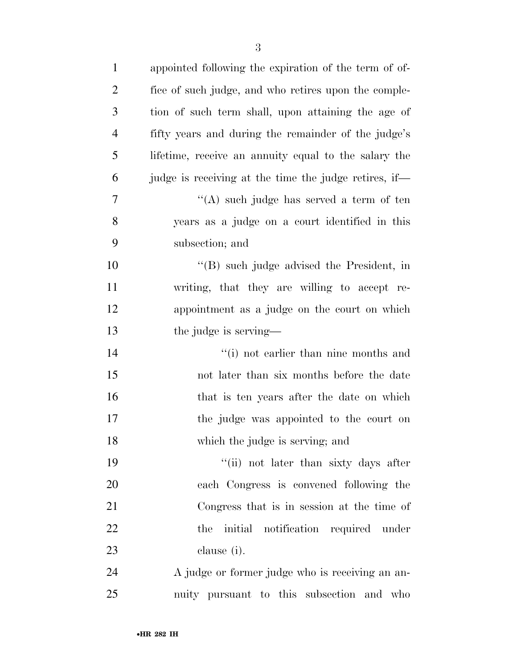| $\mathbf{1}$   | appointed following the expiration of the term of of- |
|----------------|-------------------------------------------------------|
| $\overline{2}$ | fice of such judge, and who retires upon the comple-  |
| 3              | tion of such term shall, upon attaining the age of    |
| 4              | fifty years and during the remainder of the judge's   |
| 5              | lifetime, receive an annuity equal to the salary the  |
| 6              | judge is receiving at the time the judge retires, if— |
| 7              | "(A) such judge has served a term of ten              |
| 8              | years as a judge on a court identified in this        |
| 9              | subsection; and                                       |
| 10             | $\lq$ (B) such judge advised the President, in        |
| 11             | writing, that they are willing to accept re-          |
| 12             | appointment as a judge on the court on which          |
| 13             | the judge is serving—                                 |
| 14             | "(i) not earlier than nine months and                 |
| 15             | not later than six months before the date             |
| 16             | that is ten years after the date on which             |
| 17             | the judge was appointed to the court on               |
| 18             | which the judge is serving; and                       |
| 19             | "(ii) not later than sixty days after                 |
| 20             | each Congress is convened following the               |
| 21             | Congress that is in session at the time of            |
| 22             | the initial notification required under               |
| 23             | clause (i).                                           |
| 24             | A judge or former judge who is receiving an an-       |
| 25             | nuity pursuant to this subsection and who             |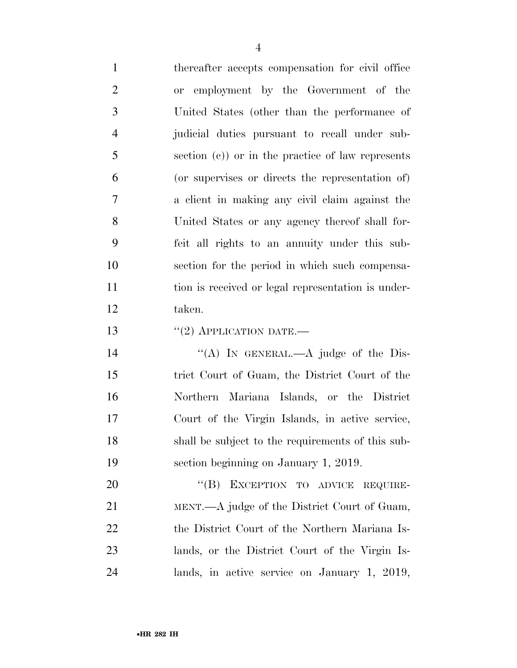thereafter accepts compensation for civil office or employment by the Government of the United States (other than the performance of judicial duties pursuant to recall under sub- section (c)) or in the practice of law represents (or supervises or directs the representation of) a client in making any civil claim against the United States or any agency thereof shall for- feit all rights to an annuity under this sub- section for the period in which such compensa-11 tion is received or legal representation is under- taken. 13 "(2) APPLICATION DATE.—

14 "(A) In GENERAL.—A judge of the Dis- trict Court of Guam, the District Court of the Northern Mariana Islands, or the District Court of the Virgin Islands, in active service, shall be subject to the requirements of this sub-section beginning on January 1, 2019.

20 "(B) EXCEPTION TO ADVICE REQUIRE- MENT.—A judge of the District Court of Guam, 22 the District Court of the Northern Mariana Is- lands, or the District Court of the Virgin Is-lands, in active service on January 1, 2019,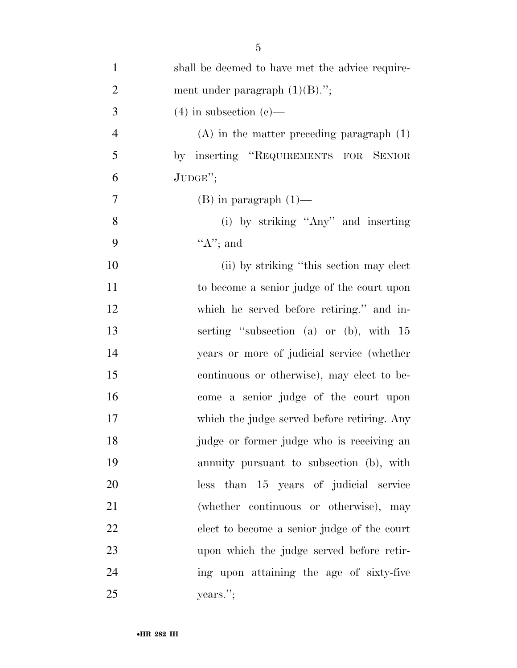| $\mathbf{1}$   | shall be deemed to have met the advice require- |
|----------------|-------------------------------------------------|
| $\overline{2}$ | ment under paragraph $(1)(B)$ .";               |
| $\mathfrak{Z}$ | $(4)$ in subsection $(e)$ —                     |
| $\overline{4}$ | $(A)$ in the matter preceding paragraph $(1)$   |
| 5              | by inserting "REQUIREMENTS FOR SENIOR           |
| 6              | $JUDGE$ ";                                      |
| 7              | $(B)$ in paragraph $(1)$ —                      |
| 8              | (i) by striking "Any" and inserting             |
| 9              | " $A$ "; and                                    |
| 10             | (ii) by striking "this section may elect        |
| 11             | to become a senior judge of the court upon      |
| 12             | which he served before retiring." and in-       |
| 13             | serting "subsection (a) or (b), with 15         |
| 14             | years or more of judicial service (whether      |
| 15             | continuous or otherwise), may elect to be-      |
| 16             | come a senior judge of the court upon           |
| 17             | which the judge served before retiring. Any     |
| 18             | judge or former judge who is receiving an       |
| 19             | annuity pursuant to subsection (b), with        |
| 20             | less than 15 years of judicial service          |
| 21             | (whether continuous or otherwise), may          |
| 22             | elect to become a senior judge of the court     |
| 23             | upon which the judge served before retir-       |
| 24             | ing upon attaining the age of sixty-five        |
| 25             | years.";                                        |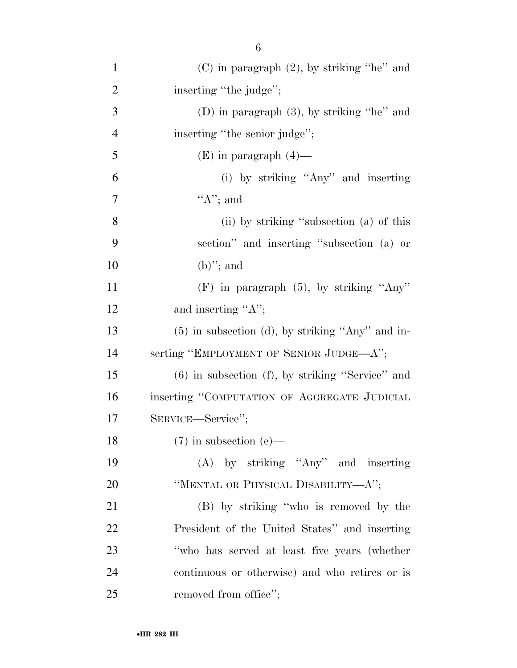| $\mathbf{1}$   | $(C)$ in paragraph $(2)$ , by striking "he" and       |
|----------------|-------------------------------------------------------|
| $\overline{2}$ | inserting "the judge";                                |
| 3              | (D) in paragraph $(3)$ , by striking "he" and         |
| $\overline{4}$ | inserting "the senior judge";                         |
| 5              | $(E)$ in paragraph $(4)$ —                            |
| 6              | (i) by striking "Any" and inserting                   |
| $\tau$         | " $A$ "; and                                          |
| 8              | (ii) by striking "subsection (a) of this              |
| 9              | section" and inserting "subsection (a) or             |
| 10             | $(b)$ "; and                                          |
| 11             | $(F)$ in paragraph $(5)$ , by striking "Any"          |
| 12             | and inserting "A";                                    |
| 13             | $(5)$ in subsection (d), by striking "Any" and in-    |
| 14             | serting "EMPLOYMENT OF SENIOR JUDGE—A";               |
| 15             | $(6)$ in subsection $(f)$ , by striking "Service" and |
| 16             | inserting "COMPUTATION OF AGGREGATE JUDICIAL          |
| 17             | SERVICE—Service";                                     |
| 18             | $(7)$ in subsection (e)—                              |
| 19             | $(A)$ by striking "Any" and inserting                 |
| 20             | "MENTAL OR PHYSICAL DISABILITY— $A$ ";                |
| 21             | (B) by striking "who is removed by the                |
| 22             | President of the United States" and inserting         |
| 23             | "who has served at least five years (whether          |
| 24             | continuous or otherwise) and who retires or is        |
| 25             | removed from office";                                 |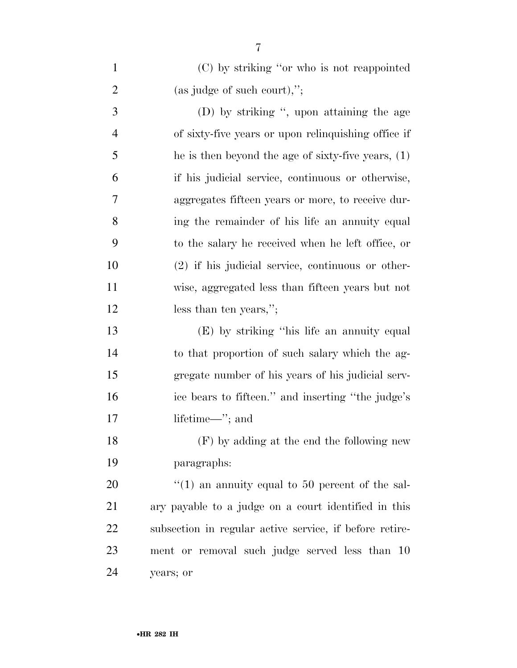| $\mathbf{1}$   | (C) by striking "or who is not reappointed              |
|----------------|---------------------------------------------------------|
| $\overline{2}$ | $(as\ judge\ of\ such\ court),'';$                      |
| 3              | (D) by striking ", upon attaining the age               |
| $\overline{4}$ | of sixty-five years or upon relinquishing office if     |
| 5              | he is then beyond the age of sixty-five years, $(1)$    |
| 6              | if his judicial service, continuous or otherwise,       |
| 7              | aggregates fifteen years or more, to receive dur-       |
| 8              | ing the remainder of his life an annuity equal          |
| 9              | to the salary he received when he left office, or       |
| 10             | $(2)$ if his judicial service, continuous or other-     |
| 11             | wise, aggregated less than fifteen years but not        |
| 12             | less than ten years,";                                  |
| 13             | (E) by striking "his life an annuity equal              |
| 14             | to that proportion of such salary which the ag-         |
| 15             | gregate number of his years of his judicial serv-       |
| 16             | ice bears to fifteen." and inserting "the judge's       |
| 17             | lifetime—"; and                                         |
| 18             | (F) by adding at the end the following new              |
| 19             | paragraphs:                                             |
| 20             | $\lq(1)$ an annuity equal to 50 percent of the sal-     |
| 21             | ary payable to a judge on a court identified in this    |
| 22             | subsection in regular active service, if before retire- |
| 23             | ment or removal such judge served less than 10          |
| 24             | years; or                                               |